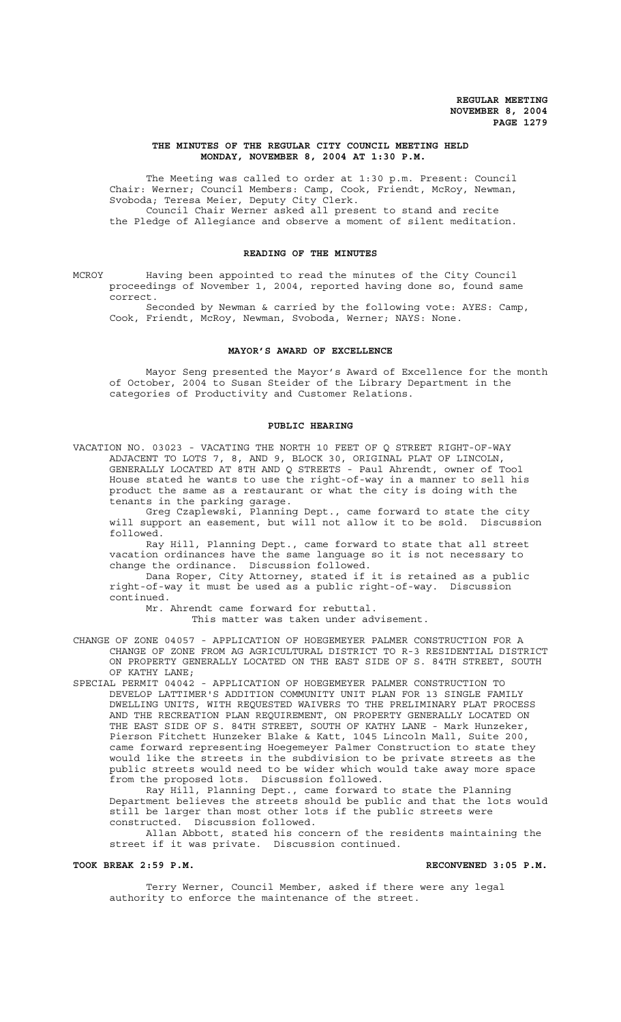### **THE MINUTES OF THE REGULAR CITY COUNCIL MEETING HELD MONDAY, NOVEMBER 8, 2004 AT 1:30 P.M.**

The Meeting was called to order at 1:30 p.m. Present: Council Chair: Werner; Council Members: Camp, Cook, Friendt, McRoy, Newman, Svoboda; Teresa Meier, Deputy City Clerk. Council Chair Werner asked all present to stand and recite the Pledge of Allegiance and observe a moment of silent meditation.

#### **READING OF THE MINUTES**

MCROY Having been appointed to read the minutes of the City Council proceedings of November 1, 2004, reported having done so, found same correct.

Seconded by Newman & carried by the following vote: AYES: Camp, Cook, Friendt, McRoy, Newman, Svoboda, Werner; NAYS: None.

### **MAYOR'S AWARD OF EXCELLENCE**

Mayor Seng presented the Mayor's Award of Excellence for the month of October, 2004 to Susan Steider of the Library Department in the categories of Productivity and Customer Relations.

#### **PUBLIC HEARING**

VACATION NO. 03023 - VACATING THE NORTH 10 FEET OF Q STREET RIGHT-OF-WAY ADJACENT TO LOTS 7, 8, AND 9, BLOCK 30, ORIGINAL PLAT OF LINCOLN, GENERALLY LOCATED AT 8TH AND Q STREETS - Paul Ahrendt, owner of Tool House stated he wants to use the right-of-way in a manner to sell his product the same as a restaurant or what the city is doing with the tenants in the parking garage.

Greg Czaplewski, Planning Dept., came forward to state the city will support an easement, but will not allow it to be sold. Discussion followed.

Ray Hill, Planning Dept., came forward to state that all street vacation ordinances have the same language so it is not necessary to change the ordinance. Discussion followed.

Dana Roper, City Attorney, stated if it is retained as a public right-of-way it must be used as a public right-of-way. Discussion continued.

Mr. Ahrendt came forward for rebuttal.

This matter was taken under advisement.

CHANGE OF ZONE 04057 - APPLICATION OF HOEGEMEYER PALMER CONSTRUCTION FOR A CHANGE OF ZONE FROM AG AGRICULTURAL DISTRICT TO R-3 RESIDENTIAL DISTRICT ON PROPERTY GENERALLY LOCATED ON THE EAST SIDE OF S. 84TH STREET, SOUTH OF KATHY LANE;

SPECIAL PERMIT 04042 - APPLICATION OF HOEGEMEYER PALMER CONSTRUCTION TO DEVELOP LATTIMER'S ADDITION COMMUNITY UNIT PLAN FOR 13 SINGLE FAMILY DWELLING UNITS, WITH REQUESTED WAIVERS TO THE PRELIMINARY PLAT PROCESS AND THE RECREATION PLAN REQUIREMENT, ON PROPERTY GENERALLY LOCATED ON THE EAST SIDE OF S. 84TH STREET, SOUTH OF KATHY LANE - Mark Hunzeker, Pierson Fitchett Hunzeker Blake & Katt, 1045 Lincoln Mall, Suite 200, came forward representing Hoegemeyer Palmer Construction to state they would like the streets in the subdivision to be private streets as the public streets would need to be wider which would take away more space from the proposed lots. Discussion followed.

Ray Hill, Planning Dept., came forward to state the Planning Department believes the streets should be public and that the lots would still be larger than most other lots if the public streets were constructed. Discussion followed.

Allan Abbott, stated his concern of the residents maintaining the street if it was private. Discussion continued.

#### TOOK BREAK 2:59 P.M. **RECONVENED 3:05 P.M.** RECONVENED 3:05 P.M.

Terry Werner, Council Member, asked if there were any legal authority to enforce the maintenance of the street.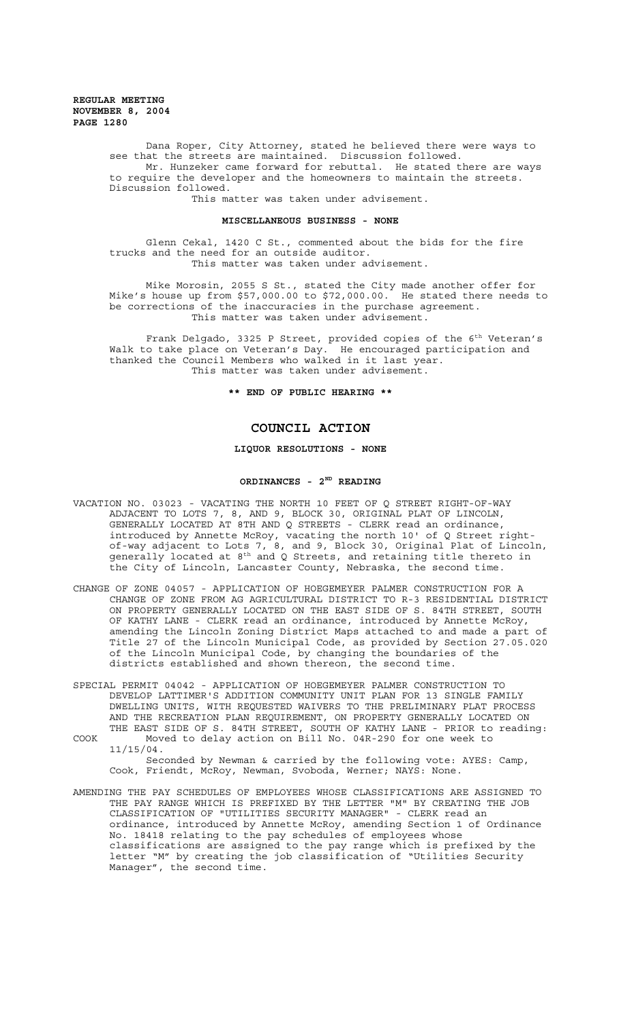**REGULAR MEETING NOVEMBER 8, 2004 PAGE 1280**

> Dana Roper, City Attorney, stated he believed there were ways to see that the streets are maintained. Discussion followed. Mr. Hunzeker came forward for rebuttal. He stated there are ways to require the developer and the homeowners to maintain the streets. Discussion followed.

This matter was taken under advisement.

#### **MISCELLANEOUS BUSINESS - NONE**

Glenn Cekal, 1420 C St., commented about the bids for the fire trucks and the need for an outside auditor. This matter was taken under advisement.

Mike Morosin, 2055 S St., stated the City made another offer for Mike's house up from \$57,000.00 to \$72,000.00. He stated there needs to be corrections of the inaccuracies in the purchase agreement. This matter was taken under advisement.

Frank Delgado, 3325 P Street, provided copies of the 6<sup>th</sup> Veteran's Walk to take place on Veteran's Day. He encouraged participation and thanked the Council Members who walked in it last year. This matter was taken under advisement.

**\*\* END OF PUBLIC HEARING \*\***

# **COUNCIL ACTION**

## **LIQUOR RESOLUTIONS - NONE**

# **ORDINANCES - 2ND READING**

- VACATION NO. 03023 VACATING THE NORTH 10 FEET OF Q STREET RIGHT-OF-WAY ADJACENT TO LOTS 7, 8, AND 9, BLOCK 30, ORIGINAL PLAT OF LINCOLN, GENERALLY LOCATED AT 8TH AND Q STREETS - CLERK read an ordinance, introduced by Annette McRoy, vacating the north 10' of Q Street rightof-way adjacent to Lots 7, 8, and 9, Block 30, Original Plat of Lincoln, generally located at  $8^{\text{th}}$  and Q Streets, and retaining title thereto in the City of Lincoln, Lancaster County, Nebraska, the second time.
- CHANGE OF ZONE 04057 APPLICATION OF HOEGEMEYER PALMER CONSTRUCTION FOR A CHANGE OF ZONE FROM AG AGRICULTURAL DISTRICT TO R-3 RESIDENTIAL DISTRICT ON PROPERTY GENERALLY LOCATED ON THE EAST SIDE OF S. 84TH STREET, SOUTH OF KATHY LANE - CLERK read an ordinance, introduced by Annette McRoy, amending the Lincoln Zoning District Maps attached to and made a part of Title 27 of the Lincoln Municipal Code, as provided by Section 27.05.020 of the Lincoln Municipal Code, by changing the boundaries of the districts established and shown thereon, the second time.
- SPECIAL PERMIT 04042 APPLICATION OF HOEGEMEYER PALMER CONSTRUCTION TO DEVELOP LATTIMER'S ADDITION COMMUNITY UNIT PLAN FOR 13 SINGLE FAMILY DWELLING UNITS, WITH REQUESTED WAIVERS TO THE PRELIMINARY PLAT PROCESS AND THE RECREATION PLAN REQUIREMENT, ON PROPERTY GENERALLY LOCATED ON THE EAST SIDE OF S. 84TH STREET, SOUTH OF KATHY LANE - PRIOR to reading: COOK Moved to delay action on Bill No. 04R-290 for one week to

11/15/04. Seconded by Newman & carried by the following vote: AYES: Camp, Cook, Friendt, McRoy, Newman, Svoboda, Werner; NAYS: None.

AMENDING THE PAY SCHEDULES OF EMPLOYEES WHOSE CLASSIFICATIONS ARE ASSIGNED TO THE PAY RANGE WHICH IS PREFIXED BY THE LETTER "M" BY CREATING THE JOB CLASSIFICATION OF "UTILITIES SECURITY MANAGER" - CLERK read an ordinance, introduced by Annette McRoy, amending Section 1 of Ordinance No. 18418 relating to the pay schedules of employees whose classifications are assigned to the pay range which is prefixed by the letter "M" by creating the job classification of "Utilities Security Manager", the second time.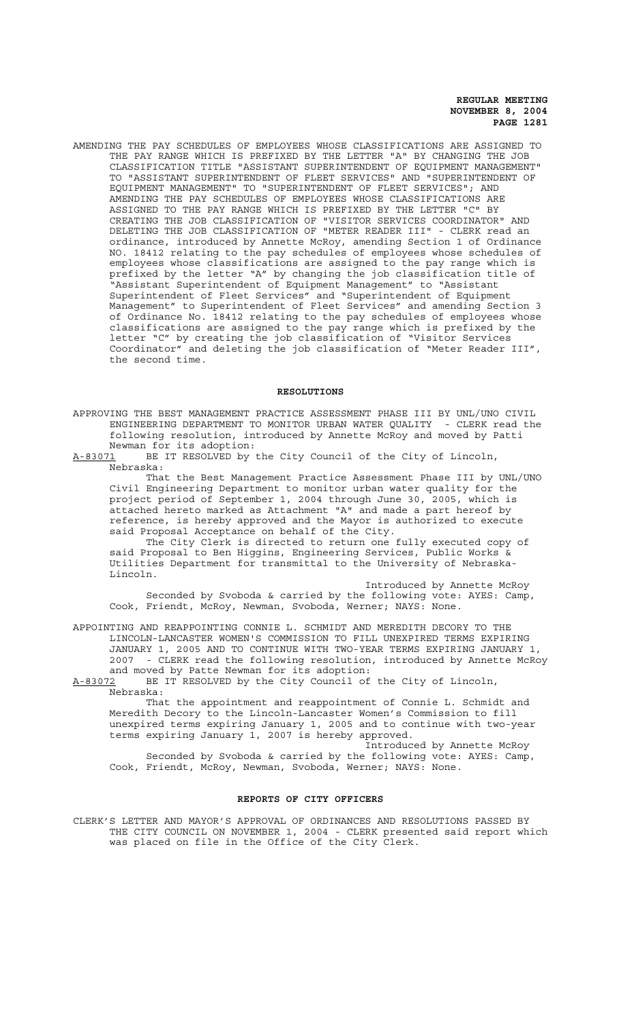**REGULAR MEETING NOVEMBER 8, 2004 PAGE 1281**

AMENDING THE PAY SCHEDULES OF EMPLOYEES WHOSE CLASSIFICATIONS ARE ASSIGNED TO THE PAY RANGE WHICH IS PREFIXED BY THE LETTER "A" BY CHANGING THE JOB CLASSIFICATION TITLE "ASSISTANT SUPERINTENDENT OF EQUIPMENT MANAGEMENT" TO "ASSISTANT SUPERINTENDENT OF FLEET SERVICES" AND "SUPERINTENDENT OF EQUIPMENT MANAGEMENT" TO "SUPERINTENDENT OF FLEET SERVICES"; AND AMENDING THE PAY SCHEDULES OF EMPLOYEES WHOSE CLASSIFICATIONS ARE ASSIGNED TO THE PAY RANGE WHICH IS PREFIXED BY THE LETTER "C" BY CREATING THE JOB CLASSIFICATION OF "VISITOR SERVICES COORDINATOR" AND DELETING THE JOB CLASSIFICATION OF "METER READER III" - CLERK read an ordinance, introduced by Annette McRoy, amending Section 1 of Ordinance NO. 18412 relating to the pay schedules of employees whose schedules of employees whose classifications are assigned to the pay range which is prefixed by the letter "A" by changing the job classification title of "Assistant Superintendent of Equipment Management" to "Assistant Superintendent of Fleet Services" and "Superintendent of Equipment Management" to Superintendent of Fleet Services" and amending Section 3 of Ordinance No. 18412 relating to the pay schedules of employees whose classifications are assigned to the pay range which is prefixed by the letter "C" by creating the job classification of "Visitor Services Coordinator" and deleting the job classification of "Meter Reader III", the second time.

### **RESOLUTIONS**

APPROVING THE BEST MANAGEMENT PRACTICE ASSESSMENT PHASE III BY UNL/UNO CIVIL ENGINEERING DEPARTMENT TO MONITOR URBAN WATER QUALITY - CLERK read the following resolution, introduced by Annette McRoy and moved by Patti Newman for its adoption:

A-83071 BE IT RESOLVED by the City Council of the City of Lincoln, Nebraska:

That the Best Management Practice Assessment Phase III by UNL/UNO Civil Engineering Department to monitor urban water quality for the project period of September 1, 2004 through June 30, 2005, which is attached hereto marked as Attachment "A" and made a part hereof by reference, is hereby approved and the Mayor is authorized to execute said Proposal Acceptance on behalf of the City.

The City Clerk is directed to return one fully executed copy of said Proposal to Ben Higgins, Engineering Services, Public Works & Utilities Department for transmittal to the University of Nebraska-Lincoln.

Introduced by Annette McRoy Seconded by Svoboda & carried by the following vote: AYES: Camp, Cook, Friendt, McRoy, Newman, Svoboda, Werner; NAYS: None.

APPOINTING AND REAPPOINTING CONNIE L. SCHMIDT AND MEREDITH DECORY TO THE LINCOLN-LANCASTER WOMEN'S COMMISSION TO FILL UNEXPIRED TERMS EXPIRING JANUARY 1, 2005 AND TO CONTINUE WITH TWO-YEAR TERMS EXPIRING JANUARY 1, 2007 - CLERK read the following resolution, introduced by Annette McRoy and moved by Patte Newman for its adoption:

A-83072 BE IT RESOLVED by the City Council of the City of Lincoln, Nebraska:

That the appointment and reappointment of Connie L. Schmidt and Meredith Decory to the Lincoln-Lancaster Women's Commission to fill unexpired terms expiring January 1, 2005 and to continue with two-year terms expiring January 1, 2007 is hereby approved.

Introduced by Annette McRoy Seconded by Svoboda & carried by the following vote: AYES: Camp, Cook, Friendt, McRoy, Newman, Svoboda, Werner; NAYS: None.

### **REPORTS OF CITY OFFICERS**

CLERK'S LETTER AND MAYOR'S APPROVAL OF ORDINANCES AND RESOLUTIONS PASSED BY THE CITY COUNCIL ON NOVEMBER 1, 2004 - CLERK presented said report which was placed on file in the Office of the City Clerk.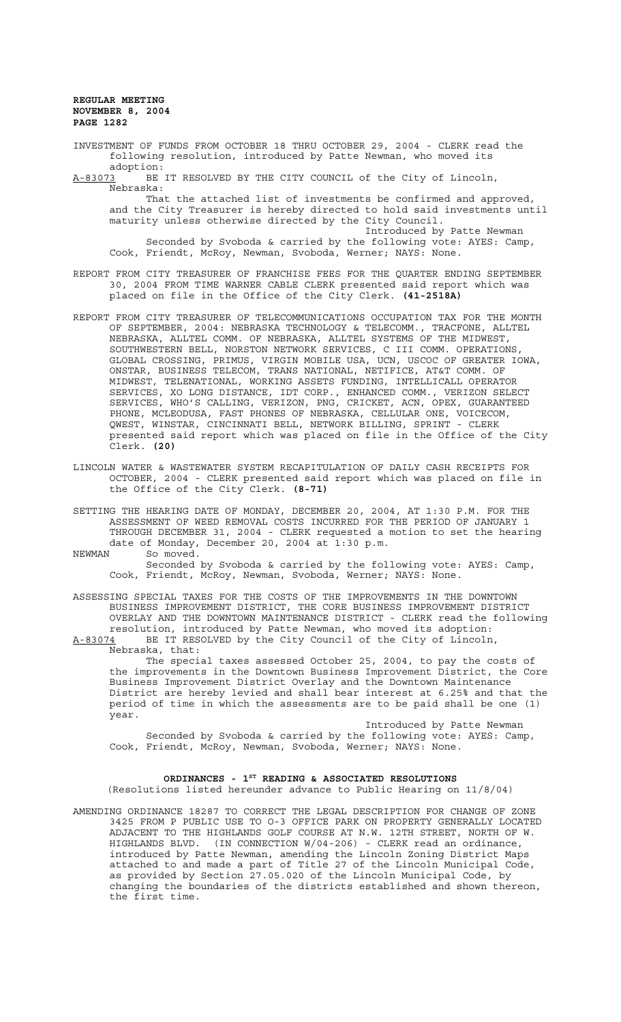**REGULAR MEETING NOVEMBER 8, 2004 PAGE 1282**

INVESTMENT OF FUNDS FROM OCTOBER 18 THRU OCTOBER 29, 2004 - CLERK read the following resolution, introduced by Patte Newman, who moved its

adoption:<br>A-83073 BE BE IT RESOLVED BY THE CITY COUNCIL of the City of Lincoln, Nebraska:

That the attached list of investments be confirmed and approved, and the City Treasurer is hereby directed to hold said investments until maturity unless otherwise directed by the City Council. Introduced by Patte Newman

Seconded by Svoboda & carried by the following vote: AYES: Camp, Cook, Friendt, McRoy, Newman, Svoboda, Werner; NAYS: None.

- REPORT FROM CITY TREASURER OF FRANCHISE FEES FOR THE QUARTER ENDING SEPTEMBER 30, 2004 FROM TIME WARNER CABLE CLERK presented said report which was placed on file in the Office of the City Clerk. **(41-2518A)**
- REPORT FROM CITY TREASURER OF TELECOMMUNICATIONS OCCUPATION TAX FOR THE MONTH OF SEPTEMBER, 2004: NEBRASKA TECHNOLOGY & TELECOMM., TRACFONE, ALLTEL NEBRASKA, ALLTEL COMM. OF NEBRASKA, ALLTEL SYSTEMS OF THE MIDWEST, SOUTHWESTERN BELL, NORSTON NETWORK SERVICES, C III COMM. OPERATIONS, GLOBAL CROSSING, PRIMUS, VIRGIN MOBILE USA, UCN, USCOC OF GREATER IOWA, ONSTAR, BUSINESS TELECOM, TRANS NATIONAL, NETIFICE, AT&T COMM. OF MIDWEST, TELENATIONAL, WORKING ASSETS FUNDING, INTELLICALL OPERATOR SERVICES, XO LONG DISTANCE, IDT CORP., ENHANCED COMM., VERIZON SELECT SERVICES, WHO'S CALLING, VERIZON, PNG, CRICKET, ACN, OPEX, GUARANTEED PHONE, MCLEODUSA, FAST PHONES OF NEBRASKA, CELLULAR ONE, VOICECOM, QWEST, WINSTAR, CINCINNATI BELL, NETWORK BILLING, SPRINT - CLERK presented said report which was placed on file in the Office of the City Clerk. **(20)**
- LINCOLN WATER & WASTEWATER SYSTEM RECAPITULATION OF DAILY CASH RECEIPTS FOR OCTOBER, 2004 - CLERK presented said report which was placed on file in the Office of the City Clerk. **(8-71)**
- SETTING THE HEARING DATE OF MONDAY, DECEMBER 20, 2004, AT 1:30 P.M. FOR THE ASSESSMENT OF WEED REMOVAL COSTS INCURRED FOR THE PERIOD OF JANUARY 1 THROUGH DECEMBER 31, 2004 - CLERK requested a motion to set the hearing date of Monday, December 20, 2004 at 1:30 p.m.
- NEWMAN So moved.

Seconded by Svoboda & carried by the following vote: AYES: Camp, Cook, Friendt, McRoy, Newman, Svoboda, Werner; NAYS: None.

ASSESSING SPECIAL TAXES FOR THE COSTS OF THE IMPROVEMENTS IN THE DOWNTOWN BUSINESS IMPROVEMENT DISTRICT, THE CORE BUSINESS IMPROVEMENT DISTRICT OVERLAY AND THE DOWNTOWN MAINTENANCE DISTRICT - CLERK read the following resolution, introduced by Patte Newman, who moved its adoption: A-83074 BE IT RESOLVED by the City Council of the City of Lincoln,

Nebraska, that:

The special taxes assessed October 25, 2004, to pay the costs of the improvements in the Downtown Business Improvement District, the Core Business Improvement District Overlay and the Downtown Maintenance District are hereby levied and shall bear interest at 6.25% and that the period of time in which the assessments are to be paid shall be one (1) year.

Introduced by Patte Newman Seconded by Svoboda & carried by the following vote: AYES: Camp, Cook, Friendt, McRoy, Newman, Svoboda, Werner; NAYS: None.

# ORDINANCES - 1<sup>ST</sup> READING & ASSOCIATED RESOLUTIONS

(Resolutions listed hereunder advance to Public Hearing on 11/8/04)

AMENDING ORDINANCE 18287 TO CORRECT THE LEGAL DESCRIPTION FOR CHANGE OF ZONE 3425 FROM P PUBLIC USE TO O-3 OFFICE PARK ON PROPERTY GENERALLY LOCATED ADJACENT TO THE HIGHLANDS GOLF COURSE AT N.W. 12TH STREET, NORTH OF W. HIGHLANDS BLVD. (IN CONNECTION W/04-206) - CLERK read an ordinance, introduced by Patte Newman, amending the Lincoln Zoning District Maps attached to and made a part of Title 27 of the Lincoln Municipal Code, as provided by Section 27.05.020 of the Lincoln Municipal Code, by changing the boundaries of the districts established and shown thereon, the first time.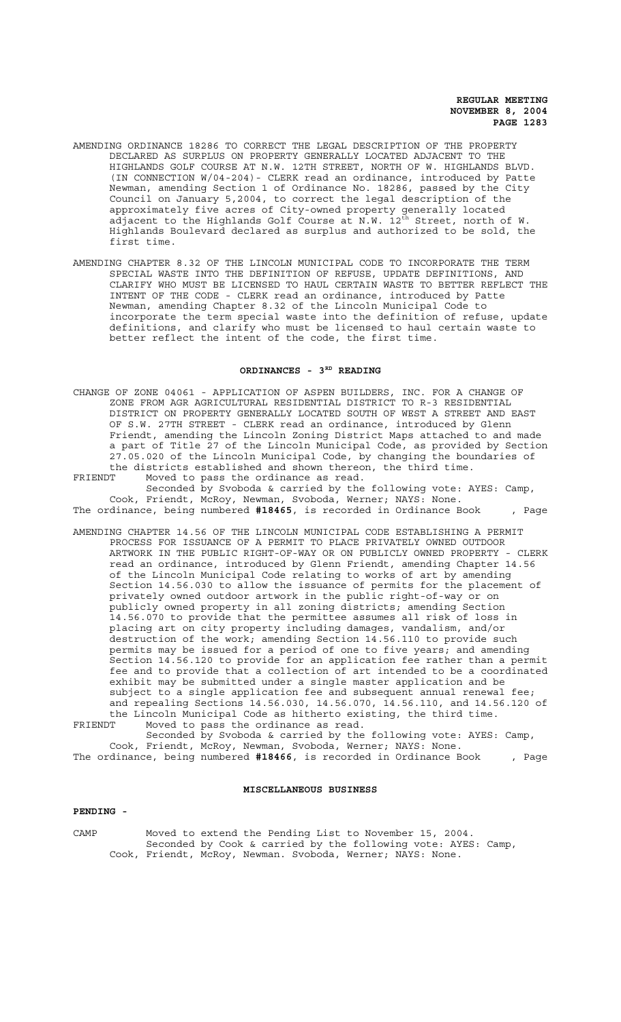### **REGULAR MEETING NOVEMBER 8, 2004 PAGE 1283**

- AMENDING ORDINANCE 18286 TO CORRECT THE LEGAL DESCRIPTION OF THE PROPERTY DECLARED AS SURPLUS ON PROPERTY GENERALLY LOCATED ADJACENT TO THE HIGHLANDS GOLF COURSE AT N.W. 12TH STREET, NORTH OF W. HIGHLANDS BLVD. (IN CONNECTION W/04-204)- CLERK read an ordinance, introduced by Patte Newman, amending Section 1 of Ordinance No. 18286, passed by the City Council on January 5,2004, to correct the legal description of the approximately five acres of City-owned property generally located adjacent to the Highlands Golf Course at N.W.  $12^{\text{th}}$  Street, north of W. Highlands Boulevard declared as surplus and authorized to be sold, the first time.
- AMENDING CHAPTER 8.32 OF THE LINCOLN MUNICIPAL CODE TO INCORPORATE THE TERM SPECIAL WASTE INTO THE DEFINITION OF REFUSE, UPDATE DEFINITIONS, AND CLARIFY WHO MUST BE LICENSED TO HAUL CERTAIN WASTE TO BETTER REFLECT THE INTENT OF THE CODE - CLERK read an ordinance, introduced by Patte Newman, amending Chapter 8.32 of the Lincoln Municipal Code to incorporate the term special waste into the definition of refuse, update definitions, and clarify who must be licensed to haul certain waste to better reflect the intent of the code, the first time.

### ORDINANCES - 3<sup>RD</sup> READING

- CHANGE OF ZONE 04061 APPLICATION OF ASPEN BUILDERS, INC. FOR A CHANGE OF ZONE FROM AGR AGRICULTURAL RESIDENTIAL DISTRICT TO R-3 RESIDENTIAL DISTRICT ON PROPERTY GENERALLY LOCATED SOUTH OF WEST A STREET AND EAST OF S.W. 27TH STREET - CLERK read an ordinance, introduced by Glenn Friendt, amending the Lincoln Zoning District Maps attached to and made a part of Title 27 of the Lincoln Municipal Code, as provided by Section 27.05.020 of the Lincoln Municipal Code, by changing the boundaries of the districts established and shown thereon, the third time.<br>FRIENDT Moved to pass the ordinance as read Moved to pass the ordinance as read.
- Seconded by Svoboda & carried by the following vote: AYES: Camp, Cook, Friendt, McRoy, Newman, Svoboda, Werner; NAYS: None. The ordinance, being numbered **#18465**, is recorded in Ordinance Book , Page
- AMENDING CHAPTER 14.56 OF THE LINCOLN MUNICIPAL CODE ESTABLISHING A PERMIT PROCESS FOR ISSUANCE OF A PERMIT TO PLACE PRIVATELY OWNED OUTDOOR ARTWORK IN THE PUBLIC RIGHT-OF-WAY OR ON PUBLICLY OWNED PROPERTY - CLERK read an ordinance, introduced by Glenn Friendt, amending Chapter 14.56 of the Lincoln Municipal Code relating to works of art by amending Section 14.56.030 to allow the issuance of permits for the placement of privately owned outdoor artwork in the public right-of-way or on publicly owned property in all zoning districts; amending Section 14.56.070 to provide that the permittee assumes all risk of loss in placing art on city property including damages, vandalism, and/or destruction of the work; amending Section 14.56.110 to provide such permits may be issued for a period of one to five years; and amending Section 14.56.120 to provide for an application fee rather than a permit fee and to provide that a collection of art intended to be a coordinated exhibit may be submitted under a single master application and be subject to a single application fee and subsequent annual renewal fee; and repealing Sections 14.56.030, 14.56.070, 14.56.110, and 14.56.120 of the Lincoln Municipal Code as hitherto existing, the third time.
- FRIENDT Moved to pass the ordinance as read. Seconded by Svoboda & carried by the following vote: AYES: Camp, Cook, Friendt, McRoy, Newman, Svoboda, Werner; NAYS: None.
- The ordinance, being numbered **#18466**, is recorded in Ordinance Book , Page

## **MISCELLANEOUS BUSINESS**

## **PENDING -**

CAMP Moved to extend the Pending List to November 15, 2004. Seconded by Cook & carried by the following vote: AYES: Camp, Cook, Friendt, McRoy, Newman. Svoboda, Werner; NAYS: None.